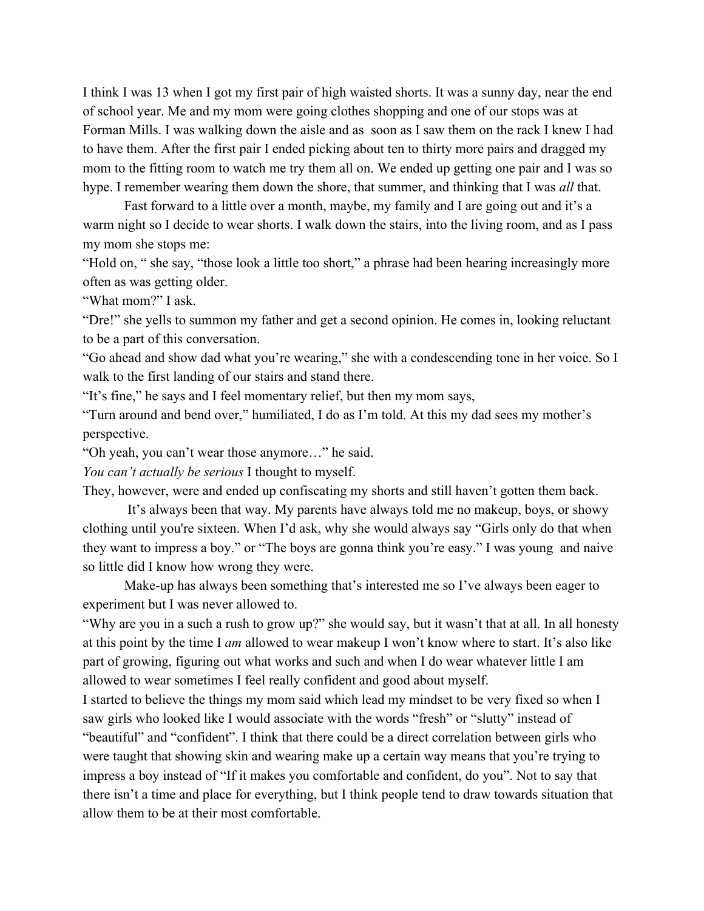I think I was 13 when I got my first pair of high waisted shorts. It was a sunny day, near the end of school year. Me and my mom were going clothes shopping and one of our stops was at Forman Mills. I was walking down the aisle and as soon as I saw them on the rack I knew I had to have them. After the first pair I ended picking about ten to thirty more pairs and dragged my mom to the fitting room to watch me try them all on. We ended up getting one pair and I was so hype. I remember wearing them down the shore, that summer, and thinking that I was *all* that.

Fast forward to a little over a month, maybe, my family and I are going out and it's a warm night so I decide to wear shorts. I walk down the stairs, into the living room, and as I pass my mom she stops me:

"Hold on, " she say, "those look a little too short," a phrase had been hearing increasingly more often as was getting older.

"What mom?" I ask.

"Dre!" she yells to summon my father and get a second opinion. He comes in, looking reluctant to be a part of this conversation.

"Go ahead and show dad what you're wearing," she with a condescending tone in her voice. So I walk to the first landing of our stairs and stand there.

"It's fine," he says and I feel momentary relief, but then my mom says,

"Turn around and bend over," humiliated, I do as I'm told. At this my dad sees my mother's perspective.

"Oh yeah, you can't wear those anymore…" he said.

*You can't actually be serious* I thought to myself.

They, however, were and ended up confiscating my shorts and still haven't gotten them back.

 It's always been that way. My parents have always told me no makeup, boys, or showy clothing until you're sixteen. When I'd ask, why she would always say "Girls only do that when they want to impress a boy." or "The boys are gonna think you're easy." I was young and naive so little did I know how wrong they were.

Make-up has always been something that's interested me so I've always been eager to experiment but I was never allowed to.

"Why are you in a such a rush to grow up?" she would say, but it wasn't that at all. In all honesty at this point by the time I *am* allowed to wear makeup I won't know where to start. It's also like part of growing, figuring out what works and such and when I do wear whatever little I am allowed to wear sometimes I feel really confident and good about myself.

I started to believe the things my mom said which lead my mindset to be very fixed so when I saw girls who looked like I would associate with the words "fresh" or "slutty" instead of "beautiful" and "confident". I think that there could be a direct correlation between girls who were taught that showing skin and wearing make up a certain way means that you're trying to impress a boy instead of "If it makes you comfortable and confident, do you". Not to say that there isn't a time and place for everything, but I think people tend to draw towards situation that allow them to be at their most comfortable.